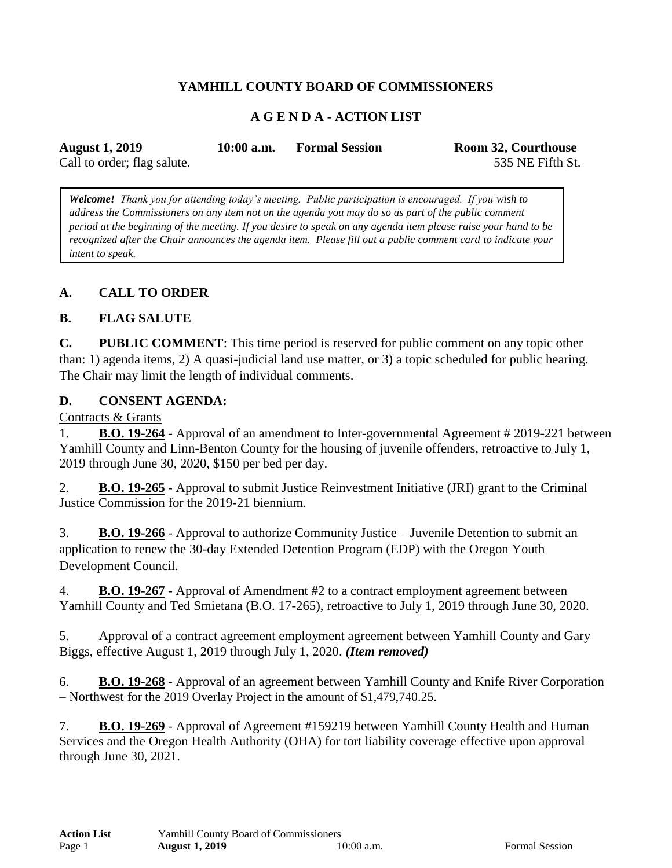# **YAMHILL COUNTY BOARD OF COMMISSIONERS**

## **A G E N D A - ACTION LIST**

| <b>August 1, 2019</b>       | $10:00$ a.m. | <b>Formal Session</b> | Room 32, Courthouse |
|-----------------------------|--------------|-----------------------|---------------------|
| Call to order; flag salute. |              |                       | 535 NE Fifth St.    |

*Welcome! Thank you for attending today's meeting. Public participation is encouraged. If you wish to address the Commissioners on any item not on the agenda you may do so as part of the public comment period at the beginning of the meeting. If you desire to speak on any agenda item please raise your hand to be recognized after the Chair announces the agenda item. Please fill out a public comment card to indicate your intent to speak.*

### **A. CALL TO ORDER**

#### **B. FLAG SALUTE**

**C. PUBLIC COMMENT**: This time period is reserved for public comment on any topic other than: 1) agenda items, 2) A quasi-judicial land use matter, or 3) a topic scheduled for public hearing. The Chair may limit the length of individual comments.

#### **D. CONSENT AGENDA:**

Contracts & Grants

1. **B.O. 19-264** - Approval of an amendment to Inter-governmental Agreement # 2019-221 between Yamhill County and Linn-Benton County for the housing of juvenile offenders, retroactive to July 1, 2019 through June 30, 2020, \$150 per bed per day.

2. **B.O. 19-265** - Approval to submit Justice Reinvestment Initiative (JRI) grant to the Criminal Justice Commission for the 2019-21 biennium.

3. **B.O. 19-266** - Approval to authorize Community Justice – Juvenile Detention to submit an application to renew the 30-day Extended Detention Program (EDP) with the Oregon Youth Development Council.

4. **B.O. 19-267** - Approval of Amendment #2 to a contract employment agreement between Yamhill County and Ted Smietana (B.O. 17-265), retroactive to July 1, 2019 through June 30, 2020.

5. Approval of a contract agreement employment agreement between Yamhill County and Gary Biggs, effective August 1, 2019 through July 1, 2020. *(Item removed)*

6. **B.O. 19-268** - Approval of an agreement between Yamhill County and Knife River Corporation – Northwest for the 2019 Overlay Project in the amount of \$1,479,740.25.

7. **B.O. 19-269** - Approval of Agreement #159219 between Yamhill County Health and Human Services and the Oregon Health Authority (OHA) for tort liability coverage effective upon approval through June 30, 2021.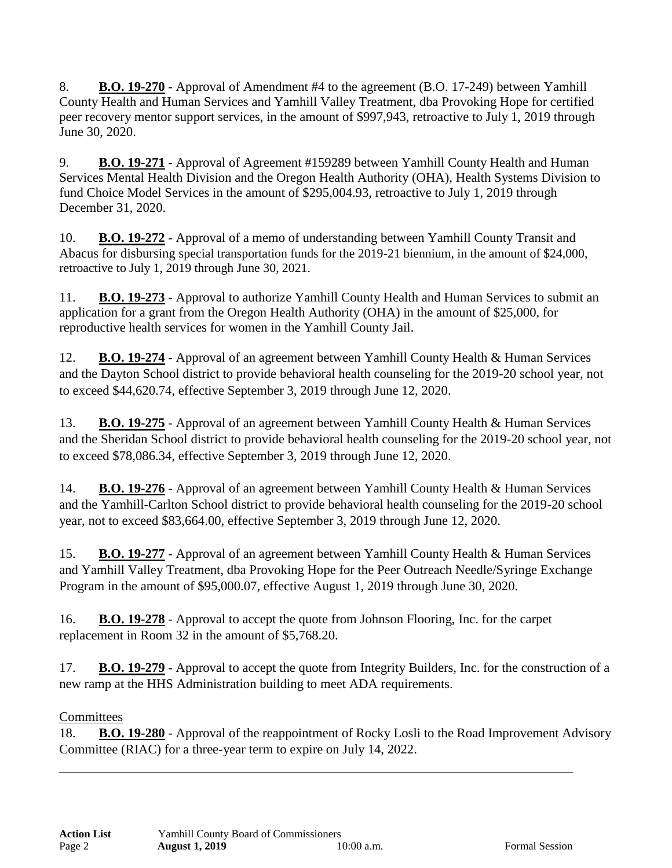8. **B.O. 19-270** - Approval of Amendment #4 to the agreement (B.O. 17-249) between Yamhill County Health and Human Services and Yamhill Valley Treatment, dba Provoking Hope for certified peer recovery mentor support services, in the amount of \$997,943, retroactive to July 1, 2019 through June 30, 2020.

9. **B.O. 19-271** - Approval of Agreement #159289 between Yamhill County Health and Human Services Mental Health Division and the Oregon Health Authority (OHA), Health Systems Division to fund Choice Model Services in the amount of \$295,004.93, retroactive to July 1, 2019 through December 31, 2020.

10. **B.O. 19-272** - Approval of a memo of understanding between Yamhill County Transit and Abacus for disbursing special transportation funds for the 2019-21 biennium, in the amount of \$24,000, retroactive to July 1, 2019 through June 30, 2021.

11. **B.O. 19-273** - Approval to authorize Yamhill County Health and Human Services to submit an application for a grant from the Oregon Health Authority (OHA) in the amount of \$25,000, for reproductive health services for women in the Yamhill County Jail.

12. **B.O. 19-274** - Approval of an agreement between Yamhill County Health & Human Services and the Dayton School district to provide behavioral health counseling for the 2019-20 school year, not to exceed \$44,620.74, effective September 3, 2019 through June 12, 2020.

13. **B.O. 19-275** - Approval of an agreement between Yamhill County Health & Human Services and the Sheridan School district to provide behavioral health counseling for the 2019-20 school year, not to exceed \$78,086.34, effective September 3, 2019 through June 12, 2020.

14. **B.O. 19-276** - Approval of an agreement between Yamhill County Health & Human Services and the Yamhill-Carlton School district to provide behavioral health counseling for the 2019-20 school year, not to exceed \$83,664.00, effective September 3, 2019 through June 12, 2020.

15. **B.O. 19-277** - Approval of an agreement between Yamhill County Health & Human Services and Yamhill Valley Treatment, dba Provoking Hope for the Peer Outreach Needle/Syringe Exchange Program in the amount of \$95,000.07, effective August 1, 2019 through June 30, 2020.

16. **B.O. 19-278** - Approval to accept the quote from Johnson Flooring, Inc. for the carpet replacement in Room 32 in the amount of \$5,768.20.

17. **B.O. 19-279** - Approval to accept the quote from Integrity Builders, Inc. for the construction of a new ramp at the HHS Administration building to meet ADA requirements.

# **Committees**

18. **B.O. 19-280** - Approval of the reappointment of Rocky Losli to the Road Improvement Advisory Committee (RIAC) for a three-year term to expire on July 14, 2022.